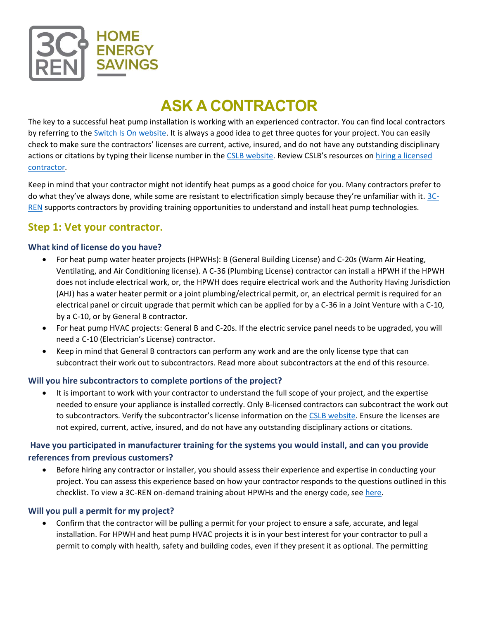

# **ASK A CONTRACTOR**

The key to a successful heat pump installation is working with an experienced contractor. You can find local contractors by referring to the [Switch Is On website.](https://switchison.cleanenergyconnection.org/tech-clean-california-contractors) It is always a good idea to get three quotes for your project. You can easily check to make sure the contractors' licenses are current, active, insured, and do not have any outstanding disciplinary actions or citations by typing their license number in [the](https://www.cslb.ca.gov/OnlineServices/CheckLicenseII/CheckLicense.aspx) [CSLB website.](https://www.cslb.ca.gov/onlineservices/checklicenseII/checklicense.aspx) Review CSLB's resources on [hiring a licensed](https://www.cslb.ca.gov/Consumers/Hire_A_Contractor/)  [contractor.](https://www.cslb.ca.gov/Consumers/Hire_A_Contractor/)

Keep in mind that your contractor might not identify heat pumps as a good choice for you. Many contractors prefer to do what they've always done, while some are resistant to electrification simply because they're unfamiliar with it. [3C-](https://www.3c-ren.org/)[REN](https://www.3c-ren.org/) supports contractors by providing training opportunities to understand and install heat pump technologies.

# **Step 1: Vet your contractor.**

## **What kind of license do you have?**

- For heat pump water heater projects (HPWHs): B (General Building License) and C-20s (Warm Air Heating, Ventilating, and Air Conditioning license). A C-36 (Plumbing License) contractor can install a HPWH if the HPWH does not include electrical work, or, the HPWH does require electrical work and the Authority Having Jurisdiction (AHJ) has a water heater permit or a joint plumbing/electrical permit, or, an electrical permit is required for an electrical panel or circuit upgrade that permit which can be applied for by a C-36 in a Joint Venture with a C-10, by a C-10, or by General B contractor.
- For heat pump HVAC projects: General B and C-20s. If the electric service panel needs to be upgraded, you will need a C-10 (Electrician's License) contractor.
- Keep in mind that General B contractors can perform any work and are the only license type that can subcontract their work out to subcontractors. Read more about subcontractors at the end of this resource.

#### **Will you hire subcontractors to complete portions of the project?**

• It is important to work with your contractor to understand the full scope of your project, and the expertise needed to ensure your appliance is installed correctly. Only B-licensed contractors can subcontract the work out to subcontractors. Verify the subcontractor's license information on the [CSLB website.](https://www.cslb.ca.gov/OnlineServices/CheckLicenseII/CheckLicense.aspx) Ensure the licenses are not expired, current, active, insured, and do not have any outstanding disciplinary actions or citations.

## **Have you participated in manufacturer training for the systems you would install, and can you provide references from previous customers?**

• Before hiring any contractor or installer, you should assess their experience and expertise in conducting your project. You can assess this experience based on how your contractor responds to the questions outlined in this checklist. To view a 3C-REN on-demand training about HPWHs and the energy code, see [here.](https://www.3c-ren.org/trainings/aug-31-2021)

## **Will you pull a permit for my project?**

• Confirm that the contractor will be pulling a permit for your project to ensure a safe, accurate, and legal installation. For HPWH and heat pump HVAC projects it is in your best interest for your contractor to pull a permit to comply with health, safety and building codes, even if they present it as optional. The permitting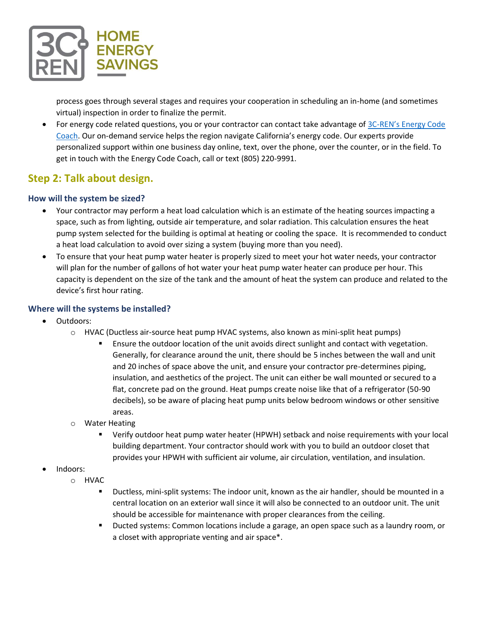

process goes through several stages and requires your cooperation in scheduling an in-home (and sometimes virtual) inspection in order to finalize the permit.

• For energy code related questions, you or your contractor can contact take advantage of 3C-[REN's Energy Code](https://www.3c-ren.org/energy-code-coach)  [Coach.](https://www.3c-ren.org/energy-code-coach) Our on-demand service helps the region navigate California's energy code. Our experts provide personalized support within one business day online, text, over the phone, over the counter, or in the field. To get in touch with the Energy Code Coach, call or text (805) 220-9991.

# **Step 2: Talk about design.**

#### **How will the system be sized?**

- Your contractor may perform a heat load calculation which is an estimate of the heating sources impacting a space, such as from lighting, outside air temperature, and solar radiation. This calculation ensures the heat pump system selected for the building is optimal at heating or cooling the space. It is recommended to conduct a heat load calculation to avoid over sizing a system (buying more than you need).
- To ensure that your heat pump water heater is properly sized to meet your hot water needs, your contractor will plan for the number of gallons of hot water your heat pump water heater can produce per hour. This capacity is dependent on the size of the tank and the amount of heat the system can produce and related to the device's first hour rating.

#### **Where will the systems be installed?**

- Outdoors:
	- o HVAC (Ductless air-source heat pump HVAC systems, also known as mini-split heat pumps)
		- **E** Ensure the outdoor location of the unit avoids direct sunlight and contact with vegetation. Generally, for clearance around the unit, there should be 5 inches between the wall and unit and 20 inches of space above the unit, and ensure your contractor pre-determines piping, insulation, and aesthetics of the project. The unit can either be wall mounted or secured to a flat, concrete pad on the ground. Heat pumps create noise like that of a refrigerator (50-90 decibels), so be aware of placing heat pump units below bedroom windows or other sensitive areas.
	- o Water Heating
		- Verify outdoor heat pump water heater (HPWH) setback and noise requirements with your local building department. Your contractor should work with you to build an outdoor closet that provides your HPWH with sufficient air volume, air circulation, ventilation, and insulation.
- Indoors:
	- o HVAC
		- Ductless, mini-split systems: The indoor unit, known as the air handler, should be mounted in a central location on an exterior wall since it will also be connected to an outdoor unit. The unit should be accessible for maintenance with proper clearances from the ceiling.
		- Ducted systems: Common locations include a garage, an open space such as a laundry room, or a closet with appropriate venting and air space\*.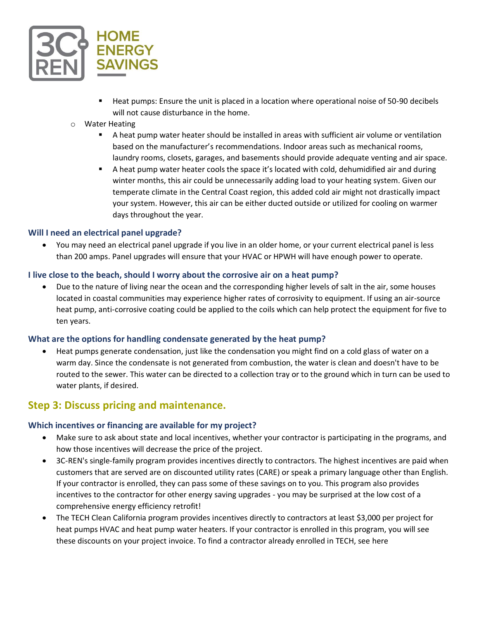

- Heat pumps: Ensure the unit is placed in a location where operational noise of 50-90 decibels will not cause disturbance in the home.
- o Water Heating
	- A heat pump water heater should be installed in areas with sufficient air volume or ventilation based on the manufacturer's recommendations. Indoor areas such as mechanical rooms, laundry rooms, closets, garages, and basements should provide adequate venting and air space.
	- **E** A heat pump water heater cools the space it's located with cold, dehumidified air and during winter months, this air could be unnecessarily adding load to your heating system. Given our temperate climate in the Central Coast region, this added cold air might not drastically impact your system. However, this air can be either ducted outside or utilized for cooling on warmer days throughout the year.

#### **Will I need an electrical panel upgrade?**

• You may need an electrical panel upgrade if you live in an older home, or your current electrical panel is less than 200 amps. Panel upgrades will ensure that your HVAC or HPWH will have enough power to operate.

#### **I live close to the beach, should I worry about the corrosive air on a heat pump?**

• Due to the nature of living near the ocean and the corresponding higher levels of salt in the air, some houses located in coastal communities may experience higher rates of corrosivity to equipment. If using an air-source heat pump, anti-corrosive coating could be applied to the coils which can help protect the equipment for five to ten years.

#### **What are the options for handling condensate generated by the heat pump?**

• Heat pumps generate condensation, just like the condensation you might find on a cold glass of water on a warm day. Since the condensate is not generated from combustion, the water is clean and doesn't have to be routed to the sewer. This water can be directed to a collection tray or to the ground which in turn can be used to water plants, if desired.

## **Step 3: Discuss pricing and maintenance.**

#### **Which incentives or financing are available for my project?**

- Make sure to ask about state and local incentives, whether your contractor is participating in the programs, and how those incentives will decrease the price of the project.
- 3C-REN's single-family program provides incentives directly to contractors. The highest incentives are paid when customers that are served are on discounted utility rates (CARE) or speak a primary language other than English. If your contractor is enrolled, they can pass some of these savings on to you. This program also provides incentives to the contractor for other energy saving upgrades - you may be surprised at the low cost of a comprehensive energy efficiency retrofit!
- The TECH Clean California program provides incentives directly to contractors at least \$3,000 per project for heat pumps HVAC and heat pump water heaters. If your contractor is enrolled in this program, you will see these discounts on your project invoice. To find a contractor already enrolled in TECH, see [here](https://switchison.cleanenergyconnection.org/)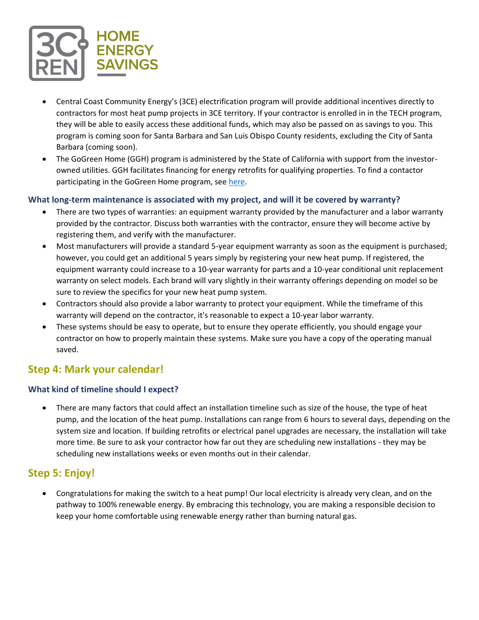

- Central Coast Community Energy's (3CE) electrification program will provide additional incentives directly to contractors for most heat pump projects in 3CE territory. If your contractor is enrolled in in the TECH program, they will be able to easily access these additional funds, which may also be passed on as savings to you. This program is coming soon for Santa Barbara and San Luis Obispo County residents, excluding the City of Santa Barbara (coming soon).
- The GoGreen Home (GGH) program is administered by the State of California with support from the investorowned utilities. GGH facilitates financing for energy retrofits for qualifying properties. To find a contactor participating in the GoGreen Home program, see [here.](https://gogreenfinancing.com/contractorfinder)

### **What long-term maintenance is associated with my project, and will it be covered by warranty?**

- There are two types of warranties: an equipment warranty provided by the manufacturer and a labor warranty provided by the contractor. Discuss both warranties with the contractor, ensure they will become active by registering them, and verify with the manufacturer.
- Most manufacturers will provide a standard 5-year equipment warranty as soon as the equipment is purchased; however, you could get an additional 5 years simply by registering your new heat pump. If registered, the equipment warranty could increase to a 10-year warranty for parts and a 10-year conditional unit replacement warranty on select models. Each brand will vary slightly in their warranty offerings depending on model so be sure to review the specifics for your new heat pump system.
- Contractors should also provide a labor warranty to protect your equipment. While the timeframe of this warranty will depend on the contractor, it's reasonable to expect a 10-year labor warranty.
- These systems should be easy to operate, but to ensure they operate efficiently, you should engage your contractor on how to properly maintain these systems. Make sure you have a copy of the operating manual saved.

# **Step 4: Mark your calendar!**

## **What kind of timeline should I expect?**

• There are many factors that could affect an installation timeline such as size of the house, the type of heat pump, and the location of the heat pump. Installations can range from 6 hours to several days, depending on the system size and location. If building retrofits or electrical panel upgrades are necessary, the installation will take more time. Be sure to ask your contractor how far out they are scheduling new installations - they may be scheduling new installations weeks or even months out in their calendar.

# **Step 5: Enjoy!**

• Congratulations for making the switch to a heat pump! Our local electricity is already very clean, and on the pathway to 100% renewable energy. By embracing this technology, you are making a responsible decision to keep your home comfortable using renewable energy rather than burning natural gas.